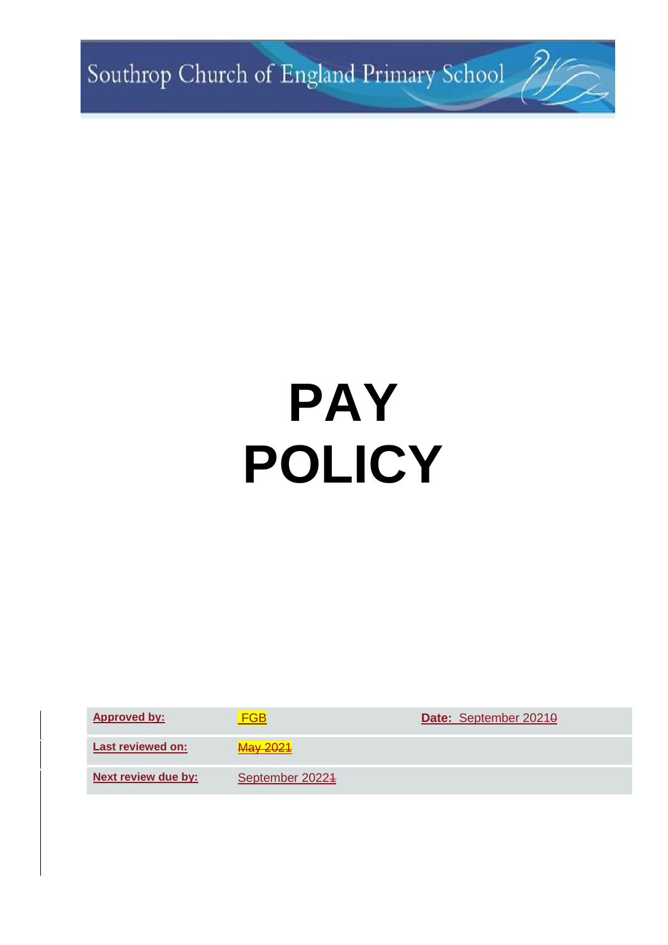Southrop Church of England Primary School 7/7

# **PAY POLICY**

**Approved by:** FGB **Date:** September 20210

**Last reviewed on:** May 2021

**Next review due by:** September 20224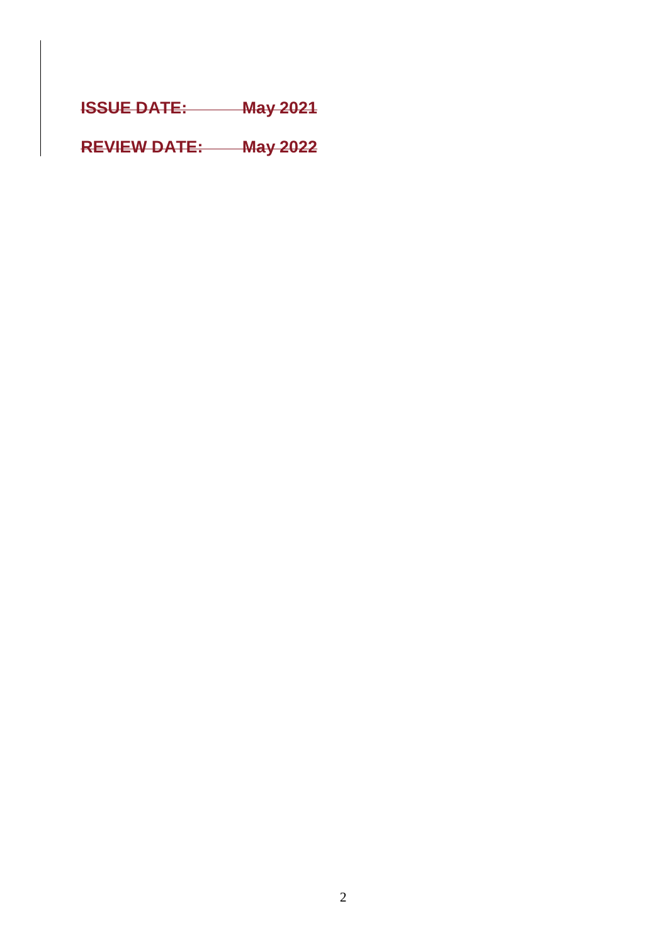**ISSUE DATE: May 2021**

**REVIEW DATE: May 2022**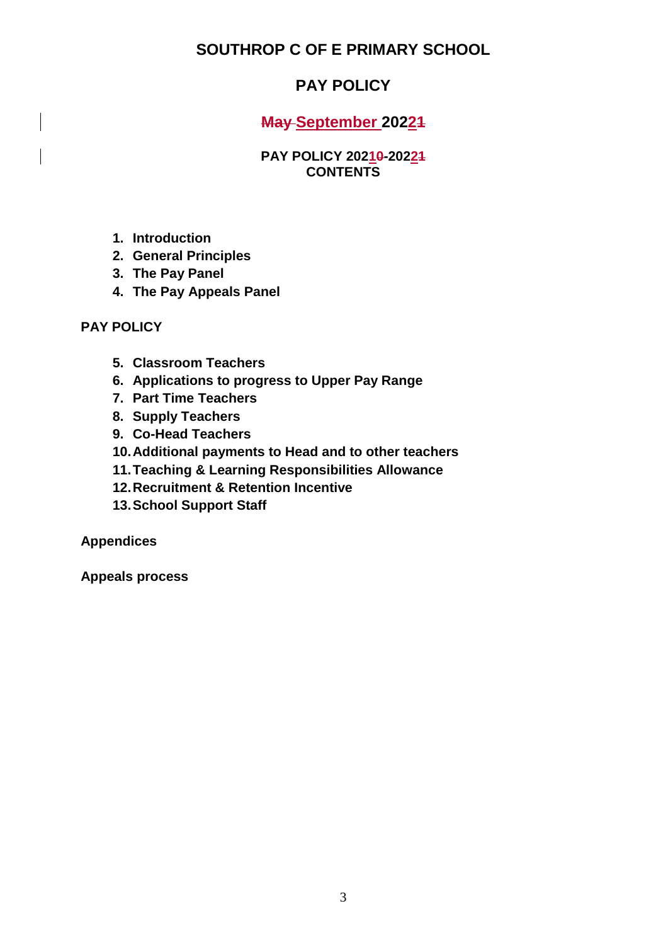**SOUTHROP C OF E PRIMARY SCHOOL**

# **PAY POLICY**

**May September 20221**

#### **PAY POLICY 20210-20221 CONTENTS**

- **1. Introduction**
- **2. General Principles**
- **3. The Pay Panel**
- **4. The Pay Appeals Panel**

# **PAY POLICY**

- **5. Classroom Teachers**
- **6. Applications to progress to Upper Pay Range**
- **7. Part Time Teachers**
- **8. Supply Teachers**
- **9. Co-Head Teachers**
- **10.Additional payments to Head and to other teachers**
- **11.Teaching & Learning Responsibilities Allowance**
- **12.Recruitment & Retention Incentive**
- **13.School Support Staff**

**Appendices**

**Appeals process**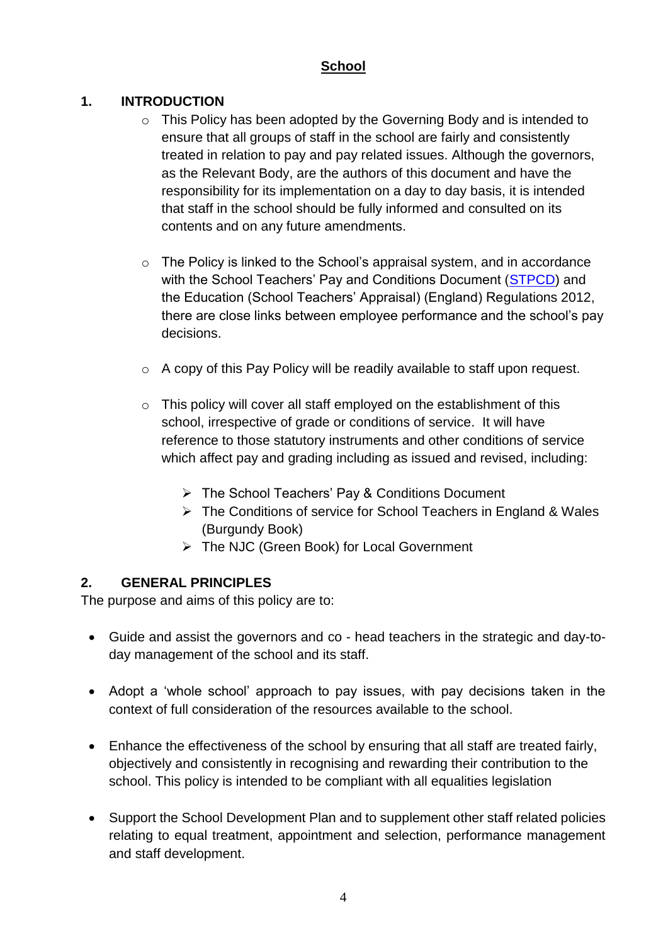# **School**

# **1. INTRODUCTION**

- $\circ$  This Policy has been adopted by the Governing Body and is intended to ensure that all groups of staff in the school are fairly and consistently treated in relation to pay and pay related issues. Although the governors, as the Relevant Body, are the authors of this document and have the responsibility for its implementation on a day to day basis, it is intended that staff in the school should be fully informed and consulted on its contents and on any future amendments.
- o The Policy is linked to the School's appraisal system, and in accordance with the School Teachers' Pay and Conditions Document [\(STPCD\)](https://www.gov.uk/government/publications/school-teachers-pay-and-conditions-2016) and the Education (School Teachers' Appraisal) (England) Regulations 2012, there are close links between employee performance and the school's pay decisions.
- o A copy of this Pay Policy will be readily available to staff upon request.
- o This policy will cover all staff employed on the establishment of this school, irrespective of grade or conditions of service. It will have reference to those statutory instruments and other conditions of service which affect pay and grading including as issued and revised, including:
	- The School Teachers' Pay & Conditions Document
	- The Conditions of service for School Teachers in England & Wales (Burgundy Book)
	- The NJC (Green Book) for Local Government

# **2. GENERAL PRINCIPLES**

The purpose and aims of this policy are to:

- Guide and assist the governors and co head teachers in the strategic and day-today management of the school and its staff.
- Adopt a 'whole school' approach to pay issues, with pay decisions taken in the context of full consideration of the resources available to the school.
- Enhance the effectiveness of the school by ensuring that all staff are treated fairly, objectively and consistently in recognising and rewarding their contribution to the school. This policy is intended to be compliant with all equalities legislation
- Support the School Development Plan and to supplement other staff related policies relating to equal treatment, appointment and selection, performance management and staff development.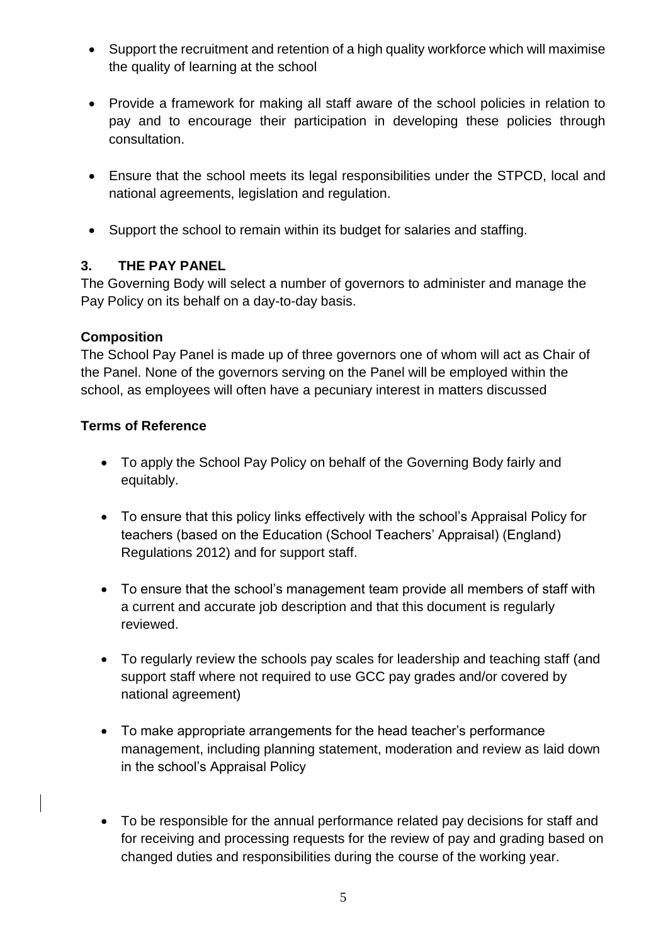- Support the recruitment and retention of a high quality workforce which will maximise the quality of learning at the school
- Provide a framework for making all staff aware of the school policies in relation to pay and to encourage their participation in developing these policies through consultation.
- Ensure that the school meets its legal responsibilities under the STPCD, local and national agreements, legislation and regulation.
- Support the school to remain within its budget for salaries and staffing.

# **3. THE PAY PANEL**

The Governing Body will select a number of governors to administer and manage the Pay Policy on its behalf on a day-to-day basis.

#### **Composition**

The School Pay Panel is made up of three governors one of whom will act as Chair of the Panel. None of the governors serving on the Panel will be employed within the school, as employees will often have a pecuniary interest in matters discussed

#### **Terms of Reference**

- To apply the School Pay Policy on behalf of the Governing Body fairly and equitably.
- To ensure that this policy links effectively with the school's Appraisal Policy for teachers (based on the Education (School Teachers' Appraisal) (England) Regulations 2012) and for support staff.
- To ensure that the school's management team provide all members of staff with a current and accurate job description and that this document is regularly reviewed.
- To regularly review the schools pay scales for leadership and teaching staff (and support staff where not required to use GCC pay grades and/or covered by national agreement)
- To make appropriate arrangements for the head teacher's performance management, including planning statement, moderation and review as laid down in the school's Appraisal Policy
- To be responsible for the annual performance related pay decisions for staff and for receiving and processing requests for the review of pay and grading based on changed duties and responsibilities during the course of the working year.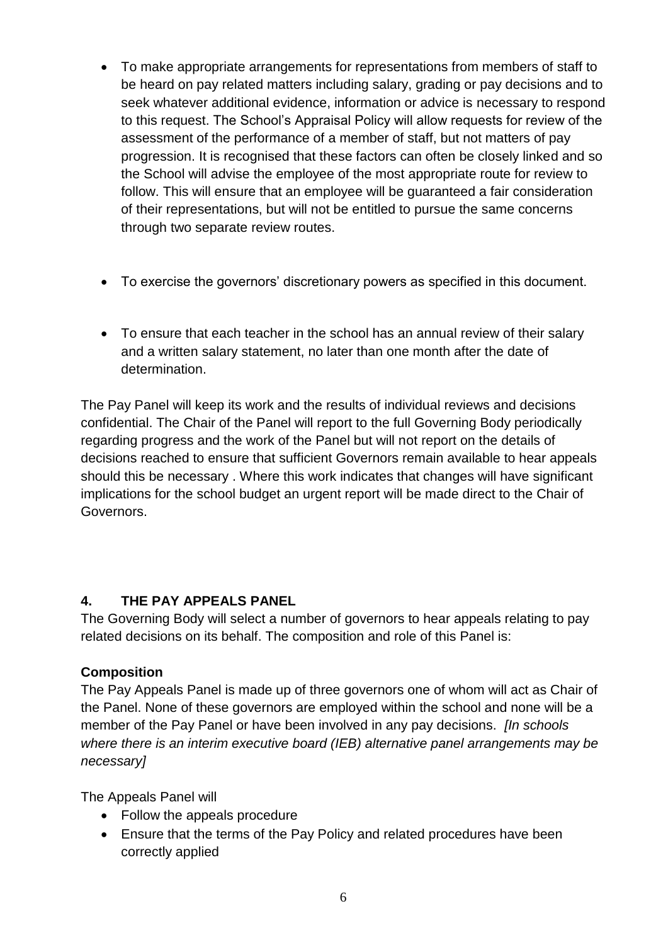- To make appropriate arrangements for representations from members of staff to be heard on pay related matters including salary, grading or pay decisions and to seek whatever additional evidence, information or advice is necessary to respond to this request. The School's Appraisal Policy will allow requests for review of the assessment of the performance of a member of staff, but not matters of pay progression. It is recognised that these factors can often be closely linked and so the School will advise the employee of the most appropriate route for review to follow. This will ensure that an employee will be guaranteed a fair consideration of their representations, but will not be entitled to pursue the same concerns through two separate review routes.
- To exercise the governors' discretionary powers as specified in this document.
- To ensure that each teacher in the school has an annual review of their salary and a written salary statement, no later than one month after the date of determination.

The Pay Panel will keep its work and the results of individual reviews and decisions confidential. The Chair of the Panel will report to the full Governing Body periodically regarding progress and the work of the Panel but will not report on the details of decisions reached to ensure that sufficient Governors remain available to hear appeals should this be necessary . Where this work indicates that changes will have significant implications for the school budget an urgent report will be made direct to the Chair of Governors.

#### **4. THE PAY APPEALS PANEL**

The Governing Body will select a number of governors to hear appeals relating to pay related decisions on its behalf. The composition and role of this Panel is:

#### **Composition**

The Pay Appeals Panel is made up of three governors one of whom will act as Chair of the Panel. None of these governors are employed within the school and none will be a member of the Pay Panel or have been involved in any pay decisions. *[In schools where there is an interim executive board (IEB) alternative panel arrangements may be necessary]*

The Appeals Panel will

- Follow the appeals procedure
- Ensure that the terms of the Pay Policy and related procedures have been correctly applied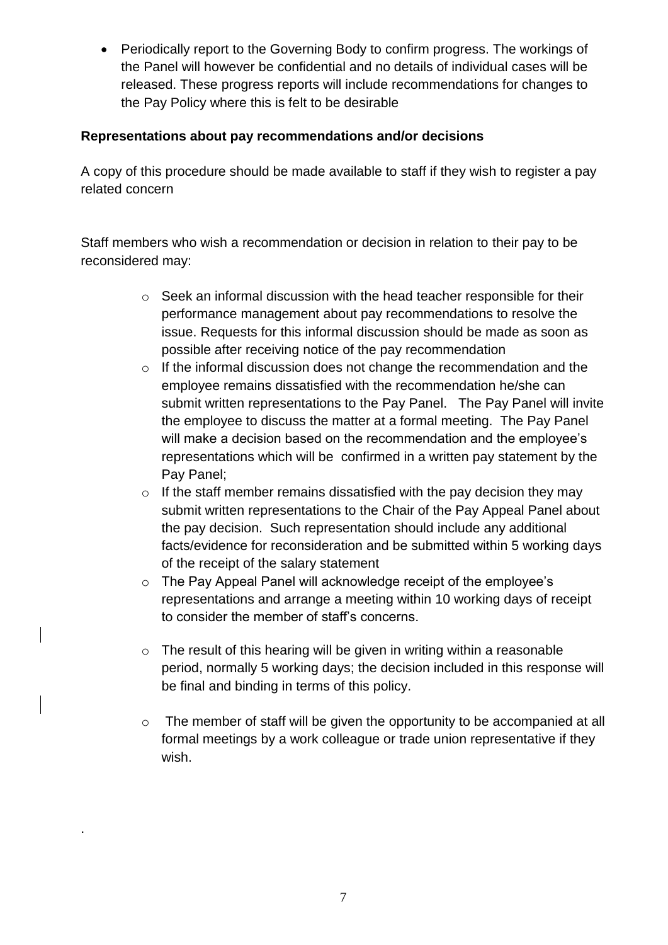Periodically report to the Governing Body to confirm progress. The workings of the Panel will however be confidential and no details of individual cases will be released. These progress reports will include recommendations for changes to the Pay Policy where this is felt to be desirable

#### **Representations about pay recommendations and/or decisions**

A copy of this procedure should be made available to staff if they wish to register a pay related concern

Staff members who wish a recommendation or decision in relation to their pay to be reconsidered may:

- o Seek an informal discussion with the head teacher responsible for their performance management about pay recommendations to resolve the issue. Requests for this informal discussion should be made as soon as possible after receiving notice of the pay recommendation
- o If the informal discussion does not change the recommendation and the employee remains dissatisfied with the recommendation he/she can submit written representations to the Pay Panel. The Pay Panel will invite the employee to discuss the matter at a formal meeting. The Pay Panel will make a decision based on the recommendation and the employee's representations which will be confirmed in a written pay statement by the Pay Panel;
- o If the staff member remains dissatisfied with the pay decision they may submit written representations to the Chair of the Pay Appeal Panel about the pay decision. Such representation should include any additional facts/evidence for reconsideration and be submitted within 5 working days of the receipt of the salary statement
- o The Pay Appeal Panel will acknowledge receipt of the employee's representations and arrange a meeting within 10 working days of receipt to consider the member of staff's concerns.
- o The result of this hearing will be given in writing within a reasonable period, normally 5 working days; the decision included in this response will be final and binding in terms of this policy.
- o The member of staff will be given the opportunity to be accompanied at all formal meetings by a work colleague or trade union representative if they wish.

.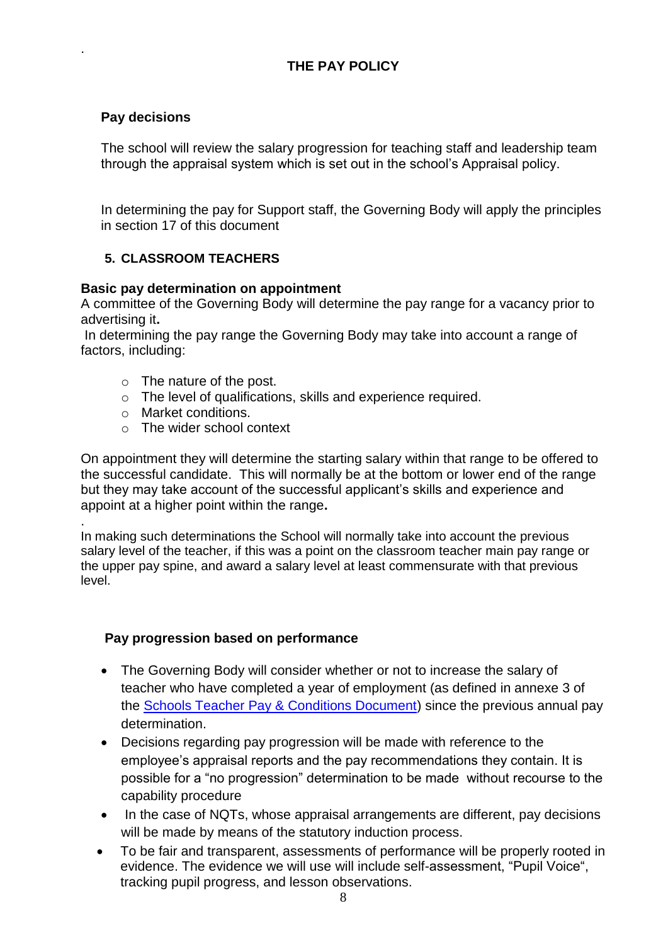# **THE PAY POLICY**

#### **Pay decisions**

.

The school will review the salary progression for teaching staff and leadership team through the appraisal system which is set out in the school's Appraisal policy.

In determining the pay for Support staff, the Governing Body will apply the principles in section 17 of this document

#### **5. CLASSROOM TEACHERS**

#### **Basic pay determination on appointment**

A committee of the Governing Body will determine the pay range for a vacancy prior to advertising it**.** 

In determining the pay range the Governing Body may take into account a range of factors, including:

- o The nature of the post.
- o The level of qualifications, skills and experience required.
- o Market conditions.
- o The wider school context

On appointment they will determine the starting salary within that range to be offered to the successful candidate. This will normally be at the bottom or lower end of the range but they may take account of the successful applicant's skills and experience and appoint at a higher point within the range**.** 

. In making such determinations the School will normally take into account the previous salary level of the teacher, if this was a point on the classroom teacher main pay range or the upper pay spine, and award a salary level at least commensurate with that previous level.

#### **Pay progression based on performance**

- The Governing Body will consider whether or not to increase the salary of teacher who have completed a year of employment (as defined in annexe 3 of the [Schools Teacher Pay & Conditions Document\)](http://www.education.gov.uk/schools/careers/payandpensions/teacherspayandconditionsdocument) since the previous annual pay determination.
- Decisions regarding pay progression will be made with reference to the employee's appraisal reports and the pay recommendations they contain. It is possible for a "no progression" determination to be made without recourse to the capability procedure
- In the case of NQTs, whose appraisal arrangements are different, pay decisions will be made by means of the statutory induction process.
- To be fair and transparent, assessments of performance will be properly rooted in evidence. The evidence we will use will include self-assessment, "Pupil Voice", tracking pupil progress, and lesson observations.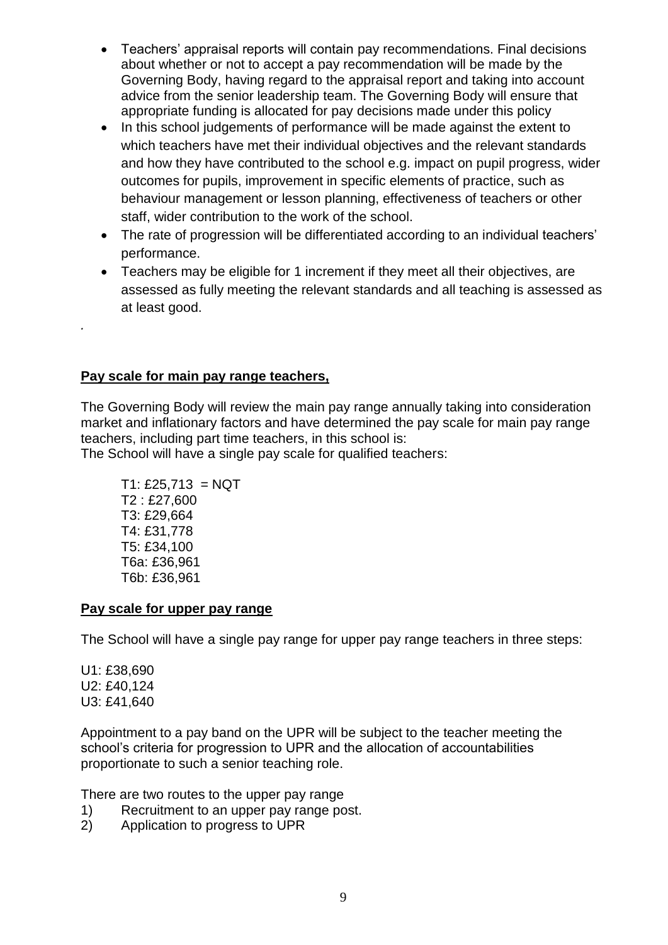- Teachers' appraisal reports will contain pay recommendations. Final decisions about whether or not to accept a pay recommendation will be made by the Governing Body, having regard to the appraisal report and taking into account advice from the senior leadership team. The Governing Body will ensure that appropriate funding is allocated for pay decisions made under this policy
- In this school judgements of performance will be made against the extent to which teachers have met their individual objectives and the relevant standards and how they have contributed to the school e.g. impact on pupil progress, wider outcomes for pupils, improvement in specific elements of practice, such as behaviour management or lesson planning, effectiveness of teachers or other staff, wider contribution to the work of the school.
- The rate of progression will be differentiated according to an individual teachers' performance.
- Teachers may be eligible for 1 increment if they meet all their objectives, are assessed as fully meeting the relevant standards and all teaching is assessed as at least good.

# **Pay scale for main pay range teachers,**

The Governing Body will review the main pay range annually taking into consideration market and inflationary factors and have determined the pay scale for main pay range teachers, including part time teachers, in this school is: The School will have a single pay scale for qualified teachers:

 $T1: \pounds 25, 713 = NQT$ T2 : £27,600 T3: £29,664 T4: £31,778 T5: £34,100 T6a: £36,961 T6b: £36,961

#### **Pay scale for upper pay range**

The School will have a single pay range for upper pay range teachers in three steps:

U1: £38,690 U2: £40,124 U3: £41,640

*.*

Appointment to a pay band on the UPR will be subject to the teacher meeting the school's criteria for progression to UPR and the allocation of accountabilities proportionate to such a senior teaching role.

There are two routes to the upper pay range

- 1) Recruitment to an upper pay range post.
- 2) Application to progress to UPR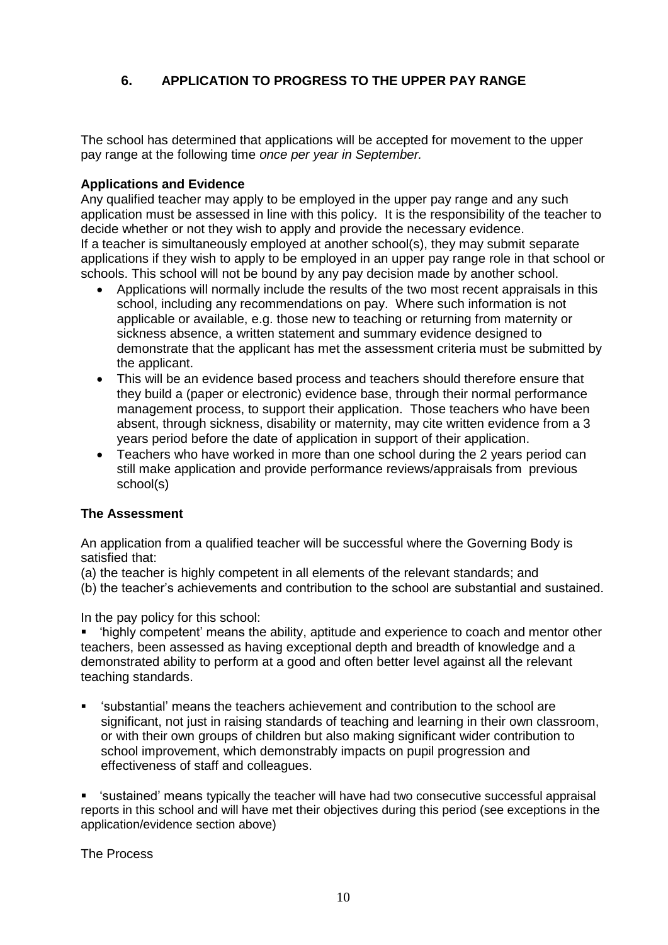## **6. APPLICATION TO PROGRESS TO THE UPPER PAY RANGE**

The school has determined that applications will be accepted for movement to the upper pay range at the following time *once per year in September.*

#### **Applications and Evidence**

Any qualified teacher may apply to be employed in the upper pay range and any such application must be assessed in line with this policy. It is the responsibility of the teacher to decide whether or not they wish to apply and provide the necessary evidence. If a teacher is simultaneously employed at another school(s), they may submit separate applications if they wish to apply to be employed in an upper pay range role in that school or schools. This school will not be bound by any pay decision made by another school.

- Applications will normally include the results of the two most recent appraisals in this school, including any recommendations on pay. Where such information is not applicable or available, e.g. those new to teaching or returning from maternity or sickness absence, a written statement and summary evidence designed to demonstrate that the applicant has met the assessment criteria must be submitted by the applicant.
- This will be an evidence based process and teachers should therefore ensure that they build a (paper or electronic) evidence base, through their normal performance management process, to support their application. Those teachers who have been absent, through sickness, disability or maternity, may cite written evidence from a 3 years period before the date of application in support of their application.
- Teachers who have worked in more than one school during the 2 years period can still make application and provide performance reviews/appraisals from previous school(s)

#### **The Assessment**

An application from a qualified teacher will be successful where the Governing Body is satisfied that:

- (a) the teacher is highly competent in all elements of the relevant standards; and
- (b) the teacher's achievements and contribution to the school are substantial and sustained.

In the pay policy for this school:

'highly competent' means the ability, aptitude and experience to coach and mentor other teachers, been assessed as having exceptional depth and breadth of knowledge and a demonstrated ability to perform at a good and often better level against all the relevant teaching standards.

- 'substantial' means the teachers achievement and contribution to the school are significant, not just in raising standards of teaching and learning in their own classroom, or with their own groups of children but also making significant wider contribution to school improvement, which demonstrably impacts on pupil progression and effectiveness of staff and colleagues.
- 'sustained' means typically the teacher will have had two consecutive successful appraisal reports in this school and will have met their objectives during this period (see exceptions in the application/evidence section above)

The Process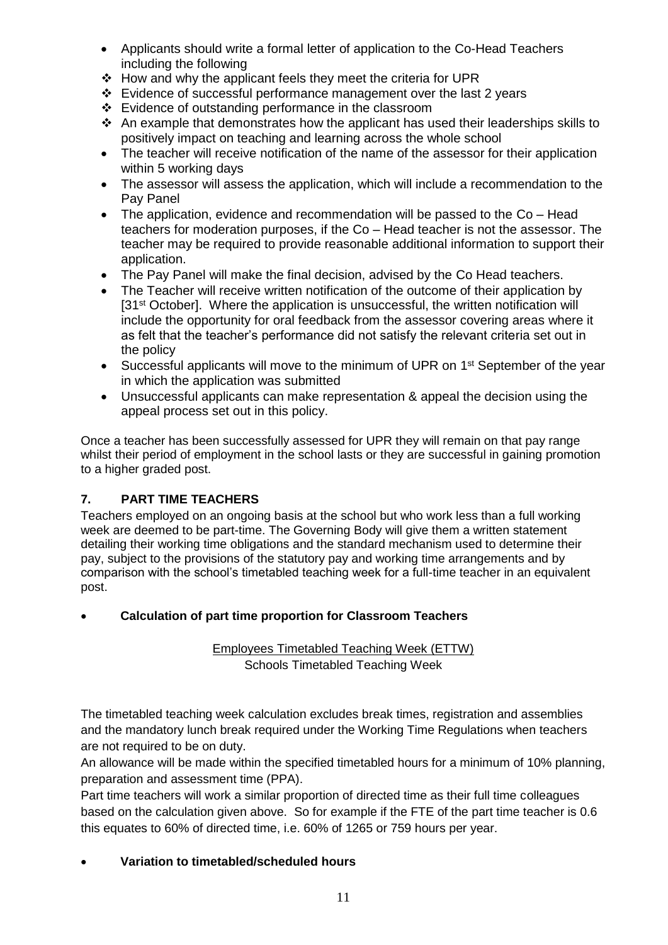- Applicants should write a formal letter of application to the Co-Head Teachers including the following
- $\div$  How and why the applicant feels they meet the criteria for UPR
- Evidence of successful performance management over the last 2 years
- Evidence of outstanding performance in the classroom
- $\triangle$  An example that demonstrates how the applicant has used their leaderships skills to positively impact on teaching and learning across the whole school
- The teacher will receive notification of the name of the assessor for their application within 5 working days
- The assessor will assess the application, which will include a recommendation to the Pay Panel
- The application, evidence and recommendation will be passed to the Co Head teachers for moderation purposes, if the Co – Head teacher is not the assessor. The teacher may be required to provide reasonable additional information to support their application.
- The Pay Panel will make the final decision, advised by the Co Head teachers.
- The Teacher will receive written notification of the outcome of their application by [31<sup>st</sup> October]. Where the application is unsuccessful, the written notification will include the opportunity for oral feedback from the assessor covering areas where it as felt that the teacher's performance did not satisfy the relevant criteria set out in the policy
- Successful applicants will move to the minimum of UPR on 1<sup>st</sup> September of the year in which the application was submitted
- Unsuccessful applicants can make representation & appeal the decision using the appeal process set out in this policy.

Once a teacher has been successfully assessed for UPR they will remain on that pay range whilst their period of employment in the school lasts or they are successful in gaining promotion to a higher graded post.

#### **7. PART TIME TEACHERS**

Teachers employed on an ongoing basis at the school but who work less than a full working week are deemed to be part-time. The Governing Body will give them a written statement detailing their working time obligations and the standard mechanism used to determine their pay, subject to the provisions of the statutory pay and working time arrangements and by comparison with the school's timetabled teaching week for a full-time teacher in an equivalent post.

#### **Calculation of part time proportion for Classroom Teachers**

#### Employees Timetabled Teaching Week (ETTW) Schools Timetabled Teaching Week

The timetabled teaching week calculation excludes break times, registration and assemblies and the mandatory lunch break required under the Working Time Regulations when teachers are not required to be on duty.

An allowance will be made within the specified timetabled hours for a minimum of 10% planning, preparation and assessment time (PPA).

Part time teachers will work a similar proportion of directed time as their full time colleagues based on the calculation given above. So for example if the FTE of the part time teacher is 0.6 this equates to 60% of directed time, i.e. 60% of 1265 or 759 hours per year.

#### **Variation to timetabled/scheduled hours**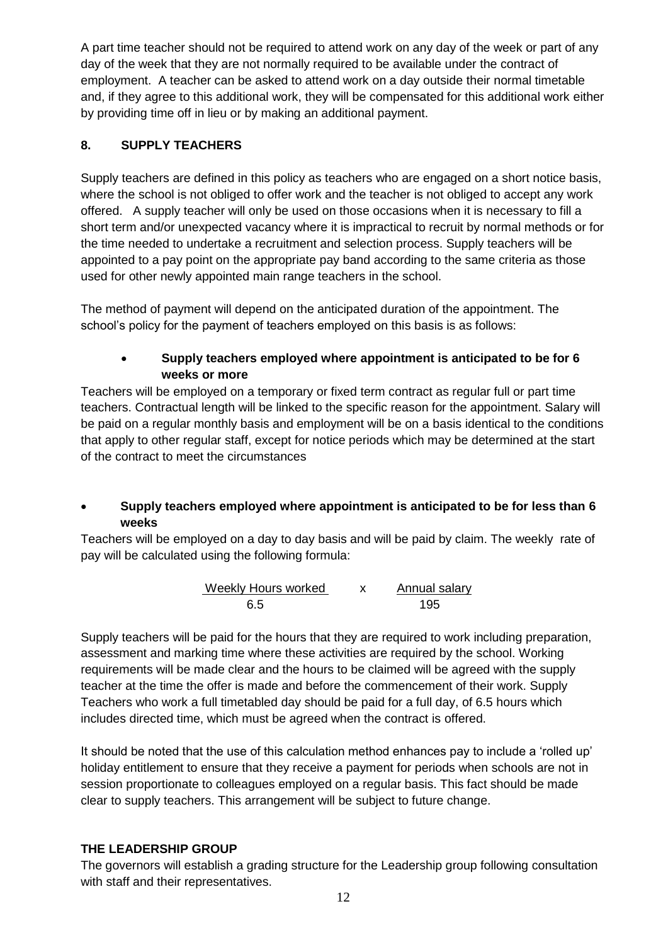A part time teacher should not be required to attend work on any day of the week or part of any day of the week that they are not normally required to be available under the contract of employment. A teacher can be asked to attend work on a day outside their normal timetable and, if they agree to this additional work, they will be compensated for this additional work either by providing time off in lieu or by making an additional payment.

## **8. SUPPLY TEACHERS**

Supply teachers are defined in this policy as teachers who are engaged on a short notice basis, where the school is not obliged to offer work and the teacher is not obliged to accept any work offered. A supply teacher will only be used on those occasions when it is necessary to fill a short term and/or unexpected vacancy where it is impractical to recruit by normal methods or for the time needed to undertake a recruitment and selection process. Supply teachers will be appointed to a pay point on the appropriate pay band according to the same criteria as those used for other newly appointed main range teachers in the school.

The method of payment will depend on the anticipated duration of the appointment. The school's policy for the payment of teachers employed on this basis is as follows:

#### **Supply teachers employed where appointment is anticipated to be for 6 weeks or more**

Teachers will be employed on a temporary or fixed term contract as regular full or part time teachers. Contractual length will be linked to the specific reason for the appointment. Salary will be paid on a regular monthly basis and employment will be on a basis identical to the conditions that apply to other regular staff, except for notice periods which may be determined at the start of the contract to meet the circumstances

#### **Supply teachers employed where appointment is anticipated to be for less than 6 weeks**

Teachers will be employed on a day to day basis and will be paid by claim. The weekly rate of pay will be calculated using the following formula:

Weekly Hours worked x Annual salary 6.5 195

Supply teachers will be paid for the hours that they are required to work including preparation, assessment and marking time where these activities are required by the school. Working requirements will be made clear and the hours to be claimed will be agreed with the supply teacher at the time the offer is made and before the commencement of their work. Supply Teachers who work a full timetabled day should be paid for a full day, of 6.5 hours which includes directed time, which must be agreed when the contract is offered.

It should be noted that the use of this calculation method enhances pay to include a 'rolled up' holiday entitlement to ensure that they receive a payment for periods when schools are not in session proportionate to colleagues employed on a regular basis. This fact should be made clear to supply teachers. This arrangement will be subject to future change.

#### **THE LEADERSHIP GROUP**

The governors will establish a grading structure for the Leadership group following consultation with staff and their representatives.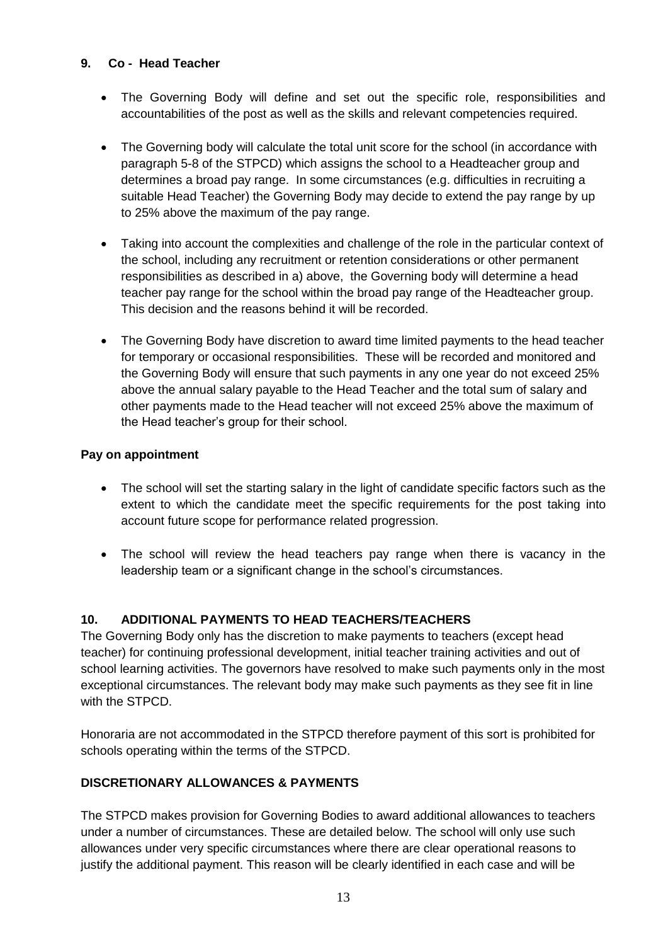#### **9. Co - Head Teacher**

- The Governing Body will define and set out the specific role, responsibilities and accountabilities of the post as well as the skills and relevant competencies required.
- The Governing body will calculate the total unit score for the school (in accordance with paragraph 5-8 of the STPCD) which assigns the school to a Headteacher group and determines a broad pay range. In some circumstances (e.g. difficulties in recruiting a suitable Head Teacher) the Governing Body may decide to extend the pay range by up to 25% above the maximum of the pay range.
- Taking into account the complexities and challenge of the role in the particular context of the school, including any recruitment or retention considerations or other permanent responsibilities as described in a) above, the Governing body will determine a head teacher pay range for the school within the broad pay range of the Headteacher group. This decision and the reasons behind it will be recorded.
- The Governing Body have discretion to award time limited payments to the head teacher for temporary or occasional responsibilities. These will be recorded and monitored and the Governing Body will ensure that such payments in any one year do not exceed 25% above the annual salary payable to the Head Teacher and the total sum of salary and other payments made to the Head teacher will not exceed 25% above the maximum of the Head teacher's group for their school.

#### **Pay on appointment**

- The school will set the starting salary in the light of candidate specific factors such as the extent to which the candidate meet the specific requirements for the post taking into account future scope for performance related progression.
- The school will review the head teachers pay range when there is vacancy in the leadership team or a significant change in the school's circumstances.

#### **10. ADDITIONAL PAYMENTS TO HEAD TEACHERS/TEACHERS**

The Governing Body only has the discretion to make payments to teachers (except head teacher) for continuing professional development, initial teacher training activities and out of school learning activities. The governors have resolved to make such payments only in the most exceptional circumstances. The relevant body may make such payments as they see fit in line with the STPCD.

Honoraria are not accommodated in the STPCD therefore payment of this sort is prohibited for schools operating within the terms of the STPCD.

#### **DISCRETIONARY ALLOWANCES & PAYMENTS**

The STPCD makes provision for Governing Bodies to award additional allowances to teachers under a number of circumstances. These are detailed below. The school will only use such allowances under very specific circumstances where there are clear operational reasons to justify the additional payment. This reason will be clearly identified in each case and will be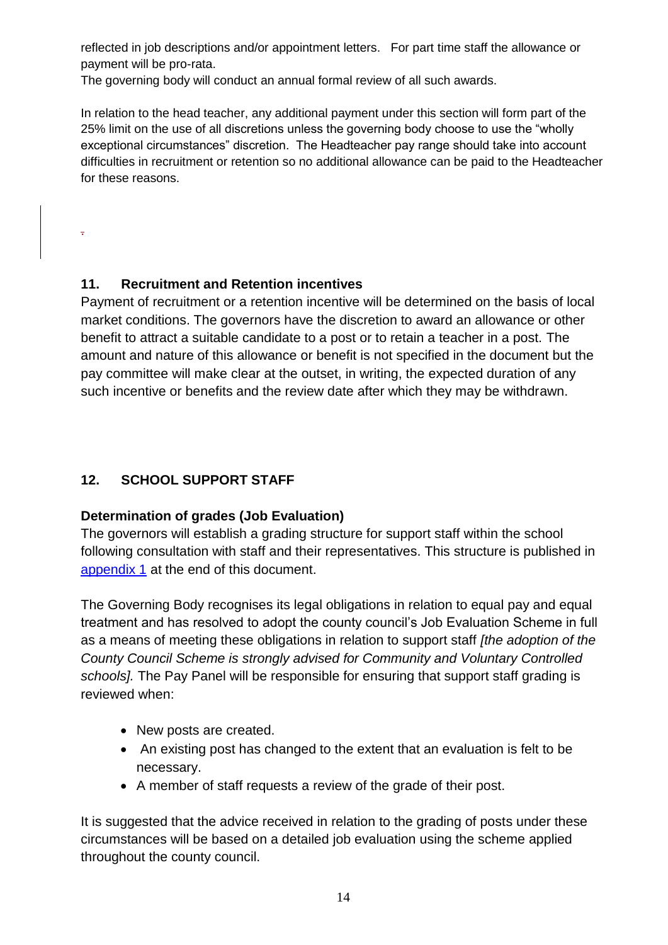reflected in job descriptions and/or appointment letters. For part time staff the allowance or payment will be pro-rata.

The governing body will conduct an annual formal review of all such awards.

In relation to the head teacher, any additional payment under this section will form part of the 25% limit on the use of all discretions unless the governing body choose to use the "wholly exceptional circumstances" discretion. The Headteacher pay range should take into account difficulties in recruitment or retention so no additional allowance can be paid to the Headteacher for these reasons.

.

# **11. Recruitment and Retention incentives**

Payment of recruitment or a retention incentive will be determined on the basis of local market conditions. The governors have the discretion to award an allowance or other benefit to attract a suitable candidate to a post or to retain a teacher in a post. The amount and nature of this allowance or benefit is not specified in the document but the pay committee will make clear at the outset, in writing, the expected duration of any such incentive or benefits and the review date after which they may be withdrawn.

# **12. SCHOOL SUPPORT STAFF**

#### **Determination of grades (Job Evaluation)**

The governors will establish a grading structure for support staff within the school following consultation with staff and their representatives. This structure is published in [appendix 1](#page-15-0) at the end of this document.

The Governing Body recognises its legal obligations in relation to equal pay and equal treatment and has resolved to adopt the county council's Job Evaluation Scheme in full as a means of meeting these obligations in relation to support staff *[the adoption of the County Council Scheme is strongly advised for Community and Voluntary Controlled schools].* The Pay Panel will be responsible for ensuring that support staff grading is reviewed when:

- New posts are created.
- An existing post has changed to the extent that an evaluation is felt to be necessary.
- A member of staff requests a review of the grade of their post.

It is suggested that the advice received in relation to the grading of posts under these circumstances will be based on a detailed job evaluation using the scheme applied throughout the county council.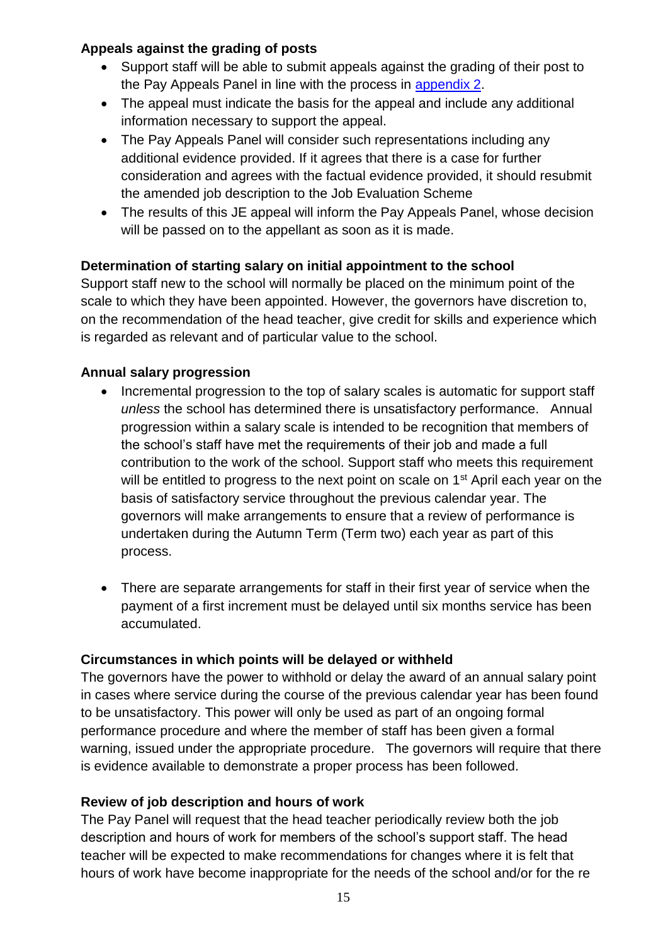## **Appeals against the grading of posts**

- Support staff will be able to submit appeals against the grading of their post to the Pay Appeals Panel in line with the process in appendix 2.
- The appeal must indicate the basis for the appeal and include any additional information necessary to support the appeal.
- The Pay Appeals Panel will consider such representations including any additional evidence provided. If it agrees that there is a case for further consideration and agrees with the factual evidence provided, it should resubmit the amended job description to the Job Evaluation Scheme
- The results of this JE appeal will inform the Pay Appeals Panel, whose decision will be passed on to the appellant as soon as it is made.

# **Determination of starting salary on initial appointment to the school**

Support staff new to the school will normally be placed on the minimum point of the scale to which they have been appointed. However, the governors have discretion to, on the recommendation of the head teacher, give credit for skills and experience which is regarded as relevant and of particular value to the school.

# **Annual salary progression**

- Incremental progression to the top of salary scales is automatic for support staff *unless* the school has determined there is unsatisfactory performance. Annual progression within a salary scale is intended to be recognition that members of the school's staff have met the requirements of their job and made a full contribution to the work of the school. Support staff who meets this requirement will be entitled to progress to the next point on scale on 1<sup>st</sup> April each year on the basis of satisfactory service throughout the previous calendar year. The governors will make arrangements to ensure that a review of performance is undertaken during the Autumn Term (Term two) each year as part of this process.
- There are separate arrangements for staff in their first year of service when the payment of a first increment must be delayed until six months service has been accumulated.

#### **Circumstances in which points will be delayed or withheld**

The governors have the power to withhold or delay the award of an annual salary point in cases where service during the course of the previous calendar year has been found to be unsatisfactory. This power will only be used as part of an ongoing formal performance procedure and where the member of staff has been given a formal warning, issued under the appropriate procedure. The governors will require that there is evidence available to demonstrate a proper process has been followed.

#### **Review of job description and hours of work**

The Pay Panel will request that the head teacher periodically review both the job description and hours of work for members of the school's support staff. The head teacher will be expected to make recommendations for changes where it is felt that hours of work have become inappropriate for the needs of the school and/or for the re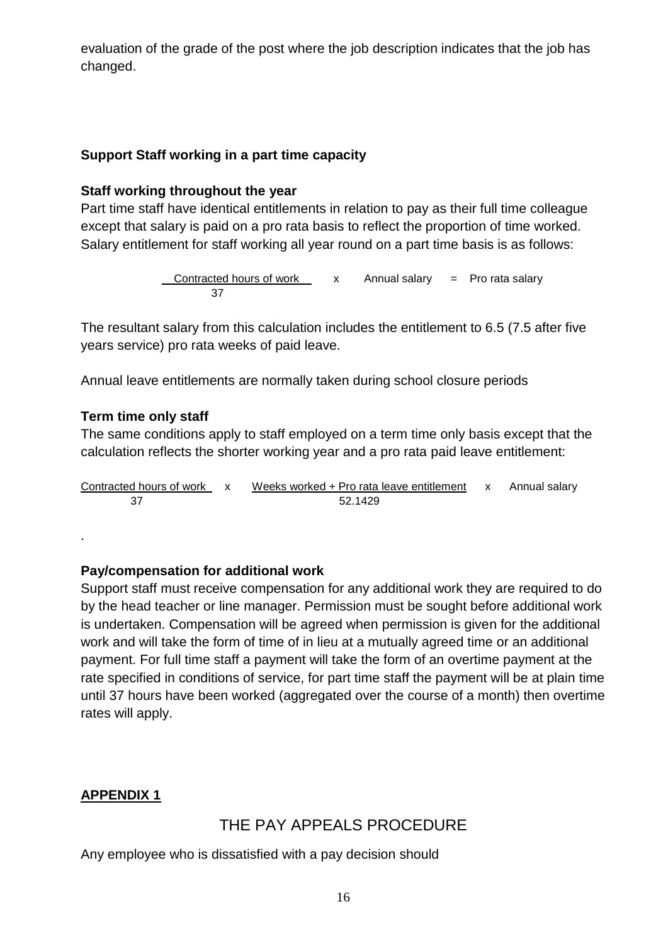evaluation of the grade of the post where the job description indicates that the job has changed.

## **Support Staff working in a part time capacity**

#### **Staff working throughout the year**

Part time staff have identical entitlements in relation to pay as their full time colleague except that salary is paid on a pro rata basis to reflect the proportion of time worked. Salary entitlement for staff working all year round on a part time basis is as follows:

> Contracted hours of work  $\begin{array}{ccc} x & A$ nnual salary = Pro rata salary 37

The resultant salary from this calculation includes the entitlement to 6.5 (7.5 after five years service) pro rata weeks of paid leave.

Annual leave entitlements are normally taken during school closure periods

#### **Term time only staff**

.

The same conditions apply to staff employed on a term time only basis except that the calculation reflects the shorter working year and a pro rata paid leave entitlement:

| Contracted hours of work x | Weeks worked + Pro rata leave entitlement x Annual salary |  |
|----------------------------|-----------------------------------------------------------|--|
|                            | 52.1429                                                   |  |

#### **Pay/compensation for additional work**

Support staff must receive compensation for any additional work they are required to do by the head teacher or line manager. Permission must be sought before additional work is undertaken. Compensation will be agreed when permission is given for the additional work and will take the form of time of in lieu at a mutually agreed time or an additional payment. For full time staff a payment will take the form of an overtime payment at the rate specified in conditions of service, for part time staff the payment will be at plain time until 37 hours have been worked (aggregated over the course of a month) then overtime rates will apply.

#### <span id="page-15-0"></span>**APPENDIX 1**

# THE PAY APPEALS PROCEDURE

Any employee who is dissatisfied with a pay decision should